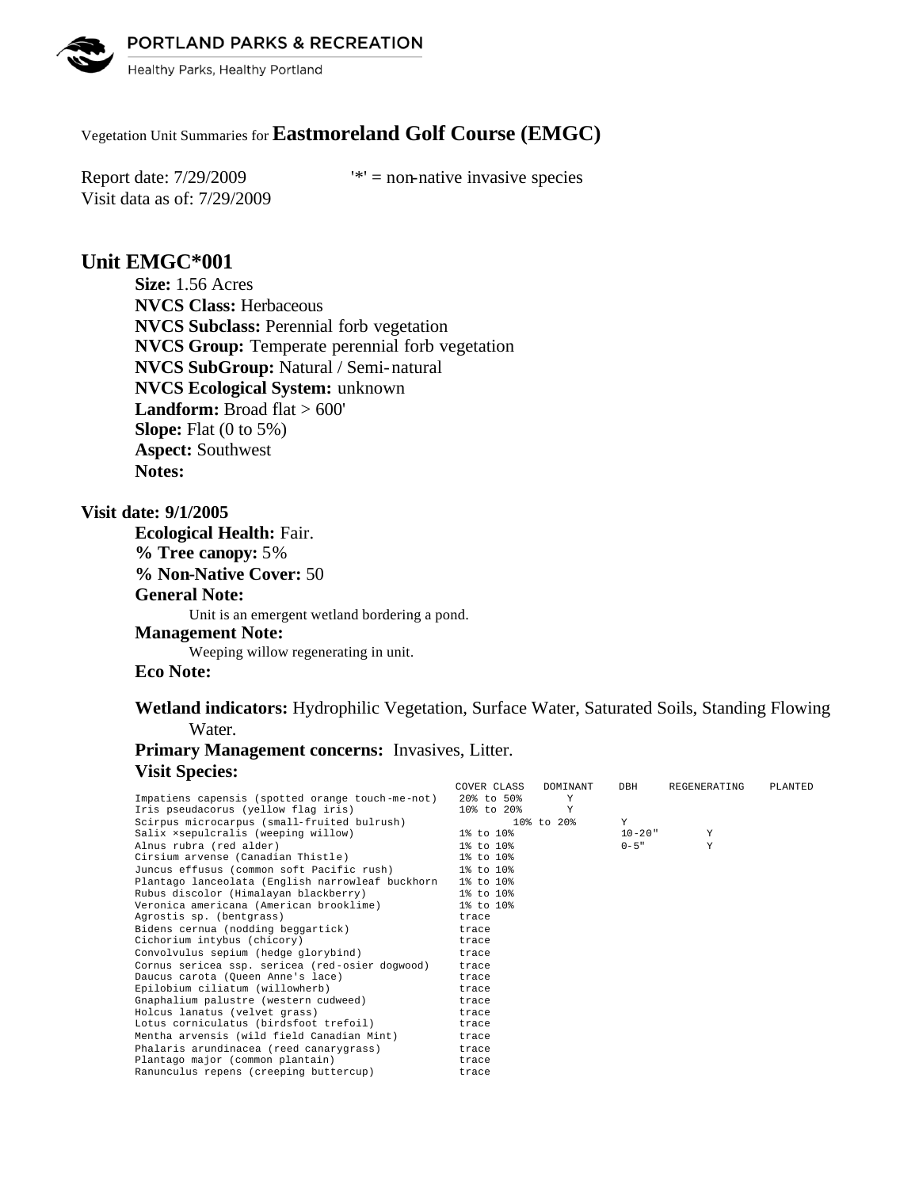PORTLAND PARKS & RECREATION



Healthy Parks, Healthy Portland

# Vegetation Unit Summaries for **Eastmoreland Golf Course (EMGC)**

Visit data as of: 7/29/2009

Report date:  $7/29/2009$  '\*' = non-native invasive species

# **Unit EMGC\*001**

**Size:** 1.56 Acres **NVCS Class:** Herbaceous **NVCS Subclass:** Perennial forb vegetation **NVCS Group:** Temperate perennial forb vegetation **NVCS SubGroup:** Natural / Semi-natural **NVCS Ecological System:** unknown Landform: Broad flat > 600' **Slope:** Flat (0 to 5%) **Aspect:** Southwest **Notes:** 

### **Visit date: 9/1/2005**

**Ecological Health:** Fair. **% Tree canopy:** 5% **% Non-Native Cover:** 50 **General Note:** Unit is an emergent wetland bordering a pond. **Management Note:** Weeping willow regenerating in unit.

### **Eco Note:**

**Wetland indicators:** Hydrophilic Vegetation, Surface Water, Saturated Soils, Standing Flowing Water.

# **Primary Management concerns:** Invasives, Litter. **Visit Species:**

|                                                  | COVER CLASS   | DOMINANT       | DBH         | REGENERATING | PLANTED |
|--------------------------------------------------|---------------|----------------|-------------|--------------|---------|
| Impatiens capensis (spotted orange touch-me-not) | $20\%$ to 50% | Y              |             |              |         |
| Iris pseudacorus (yellow flag iris)              | 10% to 20%    | Y              |             |              |         |
| Scirpus microcarpus (small-fruited bulrush)      |               | $108$ to $208$ | Y           |              |         |
| Salix xsepulcralis (weeping willow)              | 1% to 10%     |                | $10 - 20$ " | Y            |         |
| Alnus rubra (red alder)                          | 1% to 10%     |                | $0 - 5$ "   | Y            |         |
| Cirsium arvense (Canadian Thistle)               | 1% to 10%     |                |             |              |         |
| Juncus effusus (common soft Pacific rush)        | 1% to 10%     |                |             |              |         |
| Plantago lanceolata (English narrowleaf buckhorn | 1% to 10%     |                |             |              |         |
| Rubus discolor (Himalayan blackberry)            | 1% to 10%     |                |             |              |         |
| Veronica americana (American brooklime)          | 1% to 10%     |                |             |              |         |
| Agrostis sp. (bentgrass)                         | trace         |                |             |              |         |
| Bidens cernua (nodding beggartick)               | trace         |                |             |              |         |
| Cichorium intybus (chicory)                      | trace         |                |             |              |         |
| Convolvulus sepium (hedge glorybind)             | trace         |                |             |              |         |
| Cornus sericea ssp. sericea (red-osier dogwood)  | trace         |                |             |              |         |
| Daucus carota (Oueen Anne's lace)                | trace         |                |             |              |         |
| Epilobium ciliatum (willowherb)                  | trace         |                |             |              |         |
| Gnaphalium palustre (western cudweed)            | trace         |                |             |              |         |
| Holcus lanatus (velvet grass)                    | trace         |                |             |              |         |
| Lotus corniculatus (birdsfoot trefoil)           | trace         |                |             |              |         |
| Mentha arvensis (wild field Canadian Mint)       | trace         |                |             |              |         |
| Phalaris arundinacea (reed canarygrass)          | trace         |                |             |              |         |
| Plantago major (common plantain)                 | trace         |                |             |              |         |
| Ranunculus repens (creeping buttercup)           | trace         |                |             |              |         |
|                                                  |               |                |             |              |         |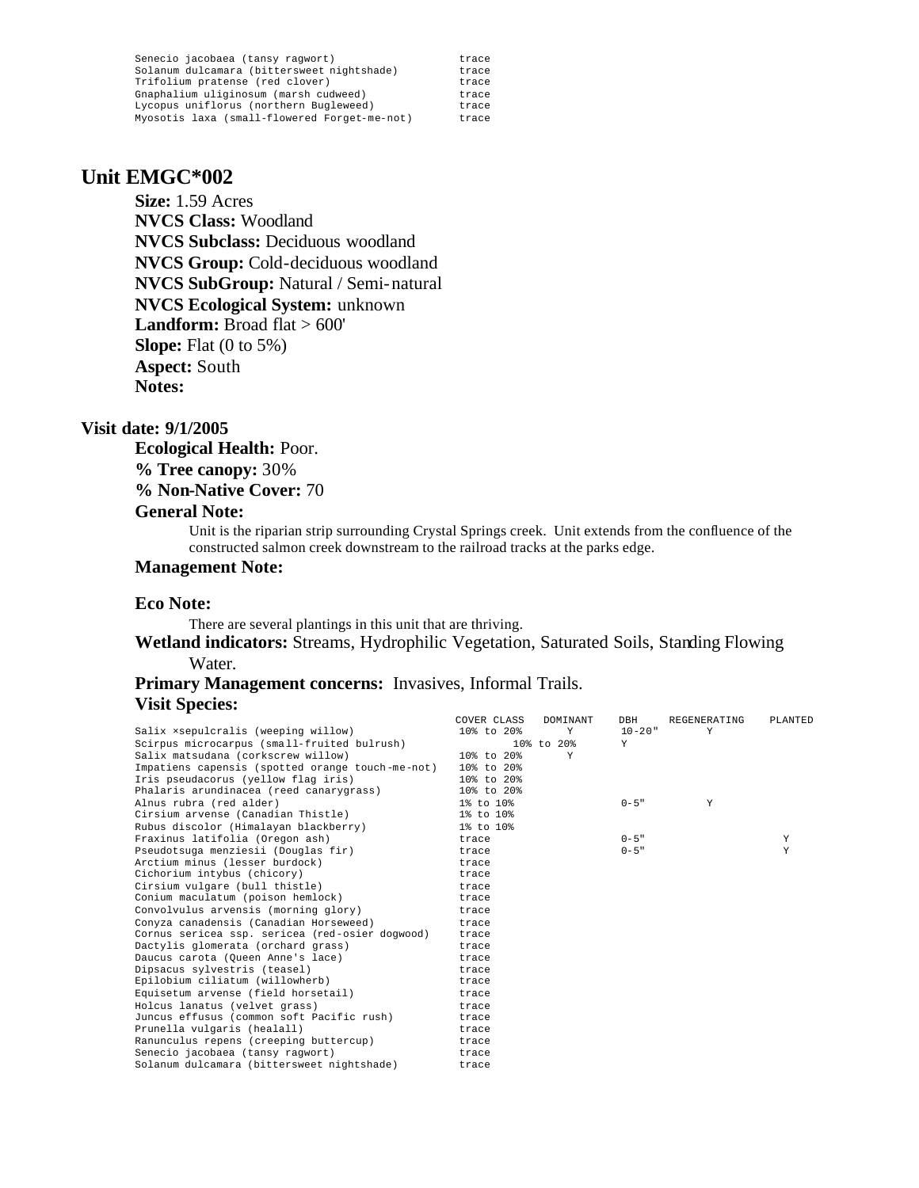| Senecio jacobaea (tansy ragwort)             | trace |
|----------------------------------------------|-------|
| Solanum dulcamara (bittersweet nightshade)   | trace |
| Trifolium pratense (red clover)              | trace |
| Gnaphalium uliginosum (marsh cudweed)        | trace |
| Lycopus uniflorus (northern Bugleweed)       | trace |
| Myosotis laxa (small-flowered Forget-me-not) | trace |

### **Unit EMGC\*002**

**Size:** 1.59 Acres **NVCS Class:** Woodland **NVCS Subclass:** Deciduous woodland **NVCS Group:** Cold-deciduous woodland **NVCS SubGroup:** Natural / Semi-natural **NVCS Ecological System:** unknown Landform: Broad flat > 600' **Slope:** Flat (0 to 5%) **Aspect:** South **Notes:** 

### **Visit date: 9/1/2005**

**Ecological Health:** Poor.

**% Tree canopy:** 30%

**% Non-Native Cover:** 70

#### **General Note:**

Unit is the riparian strip surrounding Crystal Springs creek. Unit extends from the confluence of the constructed salmon creek downstream to the railroad tracks at the parks edge.

#### **Management Note:**

### **Eco Note:**

There are several plantings in this unit that are thriving.

**Wetland indicators:** Streams, Hydrophilic Vegetation, Saturated Soils, Standing Flowing Water.

### **Primary Management concerns:** Invasives, Informal Trails. **Visit Species:**

|                                                  | COVER CLASS | <b>DOMTNANT</b> | DBH         | REGENERATING | PLANTED |
|--------------------------------------------------|-------------|-----------------|-------------|--------------|---------|
| Salix xsepulcralis (weeping willow)              | 10% to 20%  | Y               | $10 - 20$ " | Y            |         |
| Scirpus microcarpus (small-fruited bulrush)      |             | 10% to 20%      | Y           |              |         |
| Salix matsudana (corkscrew willow)               | 10% to 20%  | Y               |             |              |         |
| Impatiens capensis (spotted orange touch-me-not) | 10% to 20%  |                 |             |              |         |
| Iris pseudacorus (yellow flag iris)              | 10% to 20%  |                 |             |              |         |
| Phalaris arundinacea (reed canarygrass)          | 10% to 20%  |                 |             |              |         |
| Alnus rubra (red alder)                          | 1% to 10%   |                 | $0 - 5$ "   | Y            |         |
| Cirsium arvense (Canadian Thistle)               | 1% to 10%   |                 |             |              |         |
| Rubus discolor (Himalayan blackberry)            | 1% to 10%   |                 |             |              |         |
| Fraxinus latifolia (Oregon ash)                  | trace       |                 | $0 - 5$ "   |              | Y       |
| Pseudotsuga menziesii (Douglas fir)              | trace       |                 | $0 - 5$ "   |              | Y       |
| Arctium minus (lesser burdock)                   | trace       |                 |             |              |         |
| Cichorium intybus (chicory)                      | trace       |                 |             |              |         |
| Cirsium vulgare (bull thistle)                   | trace       |                 |             |              |         |
| Conium maculatum (poison hemlock)                | trace       |                 |             |              |         |
| Convolvulus arvensis (morning glory)             | trace       |                 |             |              |         |
| Conyza canadensis (Canadian Horseweed)           | trace       |                 |             |              |         |
| Cornus sericea ssp. sericea (red-osier dogwood)  | trace       |                 |             |              |         |
| Dactylis glomerata (orchard grass)               | trace       |                 |             |              |         |
| Daucus carota (Oueen Anne's lace)                | trace       |                 |             |              |         |
| Dipsacus sylvestris (teasel)                     | trace       |                 |             |              |         |
| Epilobium ciliatum (willowherb)                  | trace       |                 |             |              |         |
| Equisetum arvense (field horsetail)              | trace       |                 |             |              |         |
| Holcus lanatus (velvet grass)                    | trace       |                 |             |              |         |
| Juncus effusus (common soft Pacific rush)        | trace       |                 |             |              |         |
| Prunella vulgaris (healall)                      | trace       |                 |             |              |         |
| Ranunculus repens (creeping buttercup)           | trace       |                 |             |              |         |
| Senecio jacobaea (tansy raqwort)                 | trace       |                 |             |              |         |
| Solanum dulcamara (bittersweet nightshade)       | trace       |                 |             |              |         |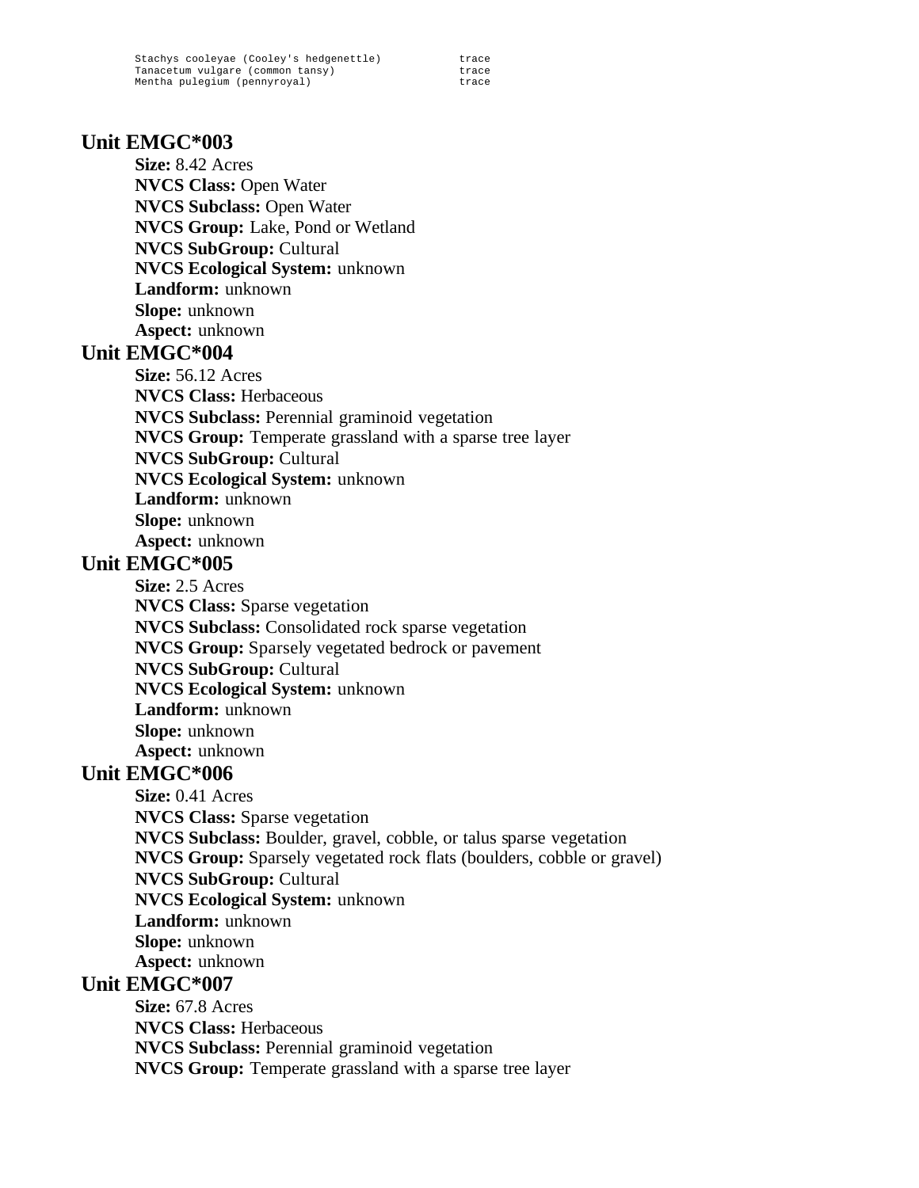Stachys cooleyae (Cooley's hedgenettle) trace<br>Tanacetum vulgare (common tansy) trace Tanacetum vulgare (common tansy) trace<br>Mentha pulegium (pennyroyal) trace Mentha pulegium (pennyroyal)

# **Unit EMGC\*003**

**Size:** 8.42 Acres **NVCS Class:** Open Water **NVCS Subclass:** Open Water **NVCS Group:** Lake, Pond or Wetland **NVCS SubGroup:** Cultural **NVCS Ecological System:** unknown **Landform:** unknown **Slope:** unknown **Aspect:** unknown

## **Unit EMGC\*004**

**Size:** 56.12 Acres **NVCS Class:** Herbaceous **NVCS Subclass:** Perennial graminoid vegetation **NVCS Group:** Temperate grassland with a sparse tree layer **NVCS SubGroup:** Cultural **NVCS Ecological System:** unknown **Landform:** unknown **Slope:** unknown **Aspect:** unknown

# **Unit EMGC\*005**

**Size:** 2.5 Acres **NVCS Class:** Sparse vegetation **NVCS Subclass:** Consolidated rock sparse vegetation **NVCS Group:** Sparsely vegetated bedrock or pavement **NVCS SubGroup:** Cultural **NVCS Ecological System:** unknown **Landform:** unknown **Slope:** unknown **Aspect:** unknown

# **Unit EMGC\*006**

**Size:** 0.41 Acres **NVCS Class:** Sparse vegetation **NVCS Subclass:** Boulder, gravel, cobble, or talus sparse vegetation **NVCS Group:** Sparsely vegetated rock flats (boulders, cobble or gravel) **NVCS SubGroup:** Cultural **NVCS Ecological System:** unknown **Landform:** unknown **Slope:** unknown **Aspect:** unknown **Unit EMGC\*007**

**Size:** 67.8 Acres **NVCS Class:** Herbaceous **NVCS Subclass:** Perennial graminoid vegetation **NVCS Group:** Temperate grassland with a sparse tree layer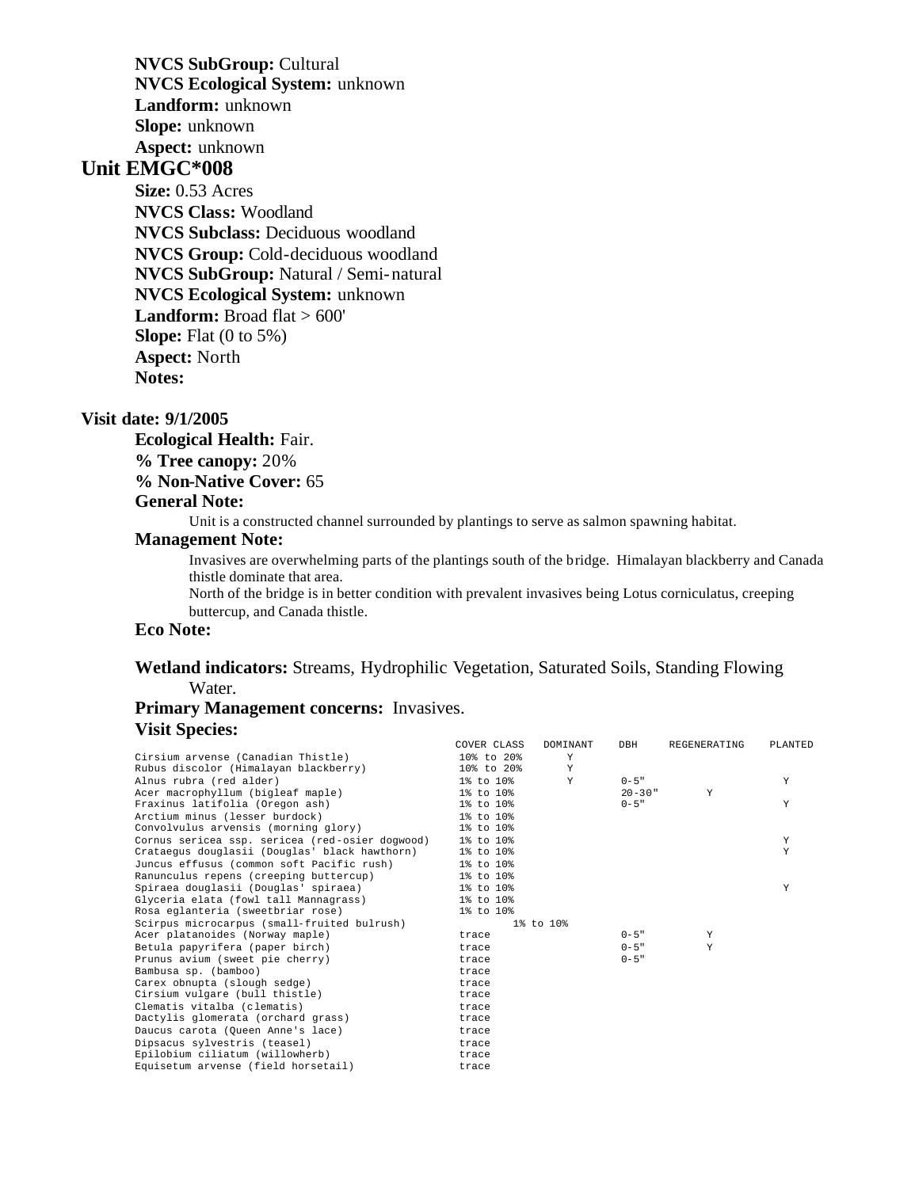**NVCS SubGroup:** Cultural **NVCS Ecological System:** unknown **Landform:** unknown **Slope:** unknown **Aspect:** unknown

# **Unit EMGC\*008**

**Size:** 0.53 Acres **NVCS Class:** Woodland **NVCS Subclass:** Deciduous woodland **NVCS Group:** Cold-deciduous woodland **NVCS SubGroup:** Natural / Semi-natural **NVCS Ecological System:** unknown Landform: Broad flat > 600' **Slope:** Flat (0 to 5%) **Aspect:** North **Notes:** 

#### **Visit date: 9/1/2005**

**Ecological Health:** Fair.

**% Tree canopy:** 20%

**% Non-Native Cover:** 65

### **General Note:**

Unit is a constructed channel surrounded by plantings to serve as salmon spawning habitat.

#### **Management Note:**

Invasives are overwhelming parts of the plantings south of the bridge. Himalayan blackberry and Canada thistle dominate that area.

North of the bridge is in better condition with prevalent invasives being Lotus corniculatus, creeping buttercup, and Canada thistle.

### **Eco Note:**

### **Wetland indicators:** Streams, Hydrophilic Vegetation, Saturated Soils, Standing Flowing Water.

### **Primary Management concerns:** Invasives. **Visit Species:**

|                                                 | COVER CLASS     | DOMINANT  | DBH         | REGENERATING | PLANTED |
|-------------------------------------------------|-----------------|-----------|-------------|--------------|---------|
| Cirsium arvense (Canadian Thistle)              | $108$ to $208$  | Y         |             |              |         |
| Rubus discolor (Himalayan blackberry)           | 10% to 20%      | Y         |             |              |         |
| Alnus rubra (red alder)                         | 1% to 10%       | Y         | $0 - 5$ "   |              | Y       |
| Acer macrophyllum (bigleaf maple)               | $1\%$ to $10\%$ |           | $20 - 30$ " | Y            |         |
| Fraxinus latifolia (Oregon ash)                 | 1% to 10%       |           | $0 - 5$ "   |              | Y       |
| Arctium minus (lesser burdock)                  | $1\%$ to $10\%$ |           |             |              |         |
| Convolvulus arvensis (morning glory)            | 1% to 10%       |           |             |              |         |
| Cornus sericea ssp. sericea (red-osier dogwood) | 1% to 10%       |           |             |              | Y       |
| Crataequs douglasii (Douglas' black hawthorn)   | 1% to 10%       |           |             |              | Y       |
| Juncus effusus (common soft Pacific rush)       | 1% to 10%       |           |             |              |         |
| Ranunculus repens (creeping buttercup)          | 1% to 10%       |           |             |              |         |
| Spiraea douglasii (Douglas' spiraea)            | 1% to 10%       |           |             |              | Υ       |
| Glyceria elata (fowl tall Mannagrass)           | 1% to 10%       |           |             |              |         |
| Rosa eglanteria (sweetbriar rose)               | 1% to 10%       |           |             |              |         |
| Scirpus microcarpus (small-fruited bulrush)     |                 | 1% to 10% |             |              |         |
| Acer platanoides (Norway maple)                 | trace           |           | $0 - 5$ "   | Y            |         |
| Betula papyrifera (paper birch)                 | trace           |           | $0 - 5$ "   | Y            |         |
| Prunus avium (sweet pie cherry)                 | trace           |           | $0 - 5$ "   |              |         |
| Bambusa sp. (bamboo)                            | trace           |           |             |              |         |
| Carex obnupta (slough sedge)                    | trace           |           |             |              |         |
| Cirsium vulgare (bull thistle)                  | trace           |           |             |              |         |
| Clematis vitalba (clematis)                     | trace           |           |             |              |         |
| Dactylis glomerata (orchard grass)              | trace           |           |             |              |         |
| Daucus carota (Oueen Anne's lace)               | trace           |           |             |              |         |
| Dipsacus sylvestris (teasel)                    | trace           |           |             |              |         |
| Epilobium ciliatum (willowherb)                 | trace           |           |             |              |         |
| Equisetum arvense (field horsetail)             | trace           |           |             |              |         |
|                                                 |                 |           |             |              |         |